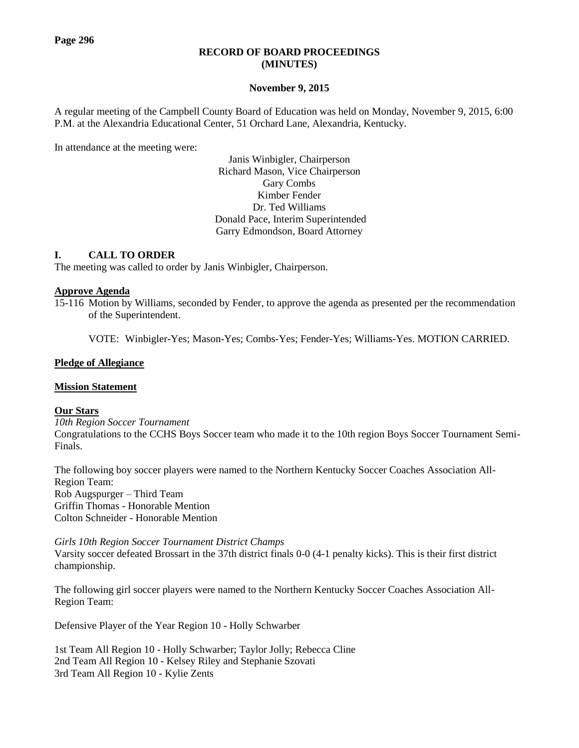## **RECORD OF BOARD PROCEEDINGS (MINUTES)**

# **November 9, 2015**

A regular meeting of the Campbell County Board of Education was held on Monday, November 9, 2015, 6:00 P.M. at the Alexandria Educational Center, 51 Orchard Lane, Alexandria, Kentucky.

In attendance at the meeting were:

Janis Winbigler, Chairperson Richard Mason, Vice Chairperson Gary Combs Kimber Fender Dr. Ted Williams Donald Pace, Interim Superintended Garry Edmondson, Board Attorney

# **I. CALL TO ORDER**

The meeting was called to order by Janis Winbigler, Chairperson.

### **Approve Agenda**

15-116 Motion by Williams, seconded by Fender, to approve the agenda as presented per the recommendation of the Superintendent.

VOTE: Winbigler-Yes; Mason-Yes; Combs-Yes; Fender-Yes; Williams-Yes. MOTION CARRIED.

# **Pledge of Allegiance**

# **Mission Statement**

# **Our Stars**

*10th Region Soccer Tournament*  Congratulations to the CCHS Boys Soccer team who made it to the 10th region Boys Soccer Tournament Semi-Finals.

The following boy soccer players were named to the Northern Kentucky Soccer Coaches Association All-Region Team: Rob Augspurger – Third Team Griffin Thomas - Honorable Mention Colton Schneider - Honorable Mention

*Girls 10th Region Soccer Tournament District Champs* Varsity soccer defeated Brossart in the 37th district finals 0-0 (4-1 penalty kicks). This is their first district championship.

The following girl soccer players were named to the Northern Kentucky Soccer Coaches Association All-Region Team:

Defensive Player of the Year Region 10 - Holly Schwarber

1st Team All Region 10 - Holly Schwarber; Taylor Jolly; Rebecca Cline 2nd Team All Region 10 - Kelsey Riley and Stephanie Szovati 3rd Team All Region 10 - Kylie Zents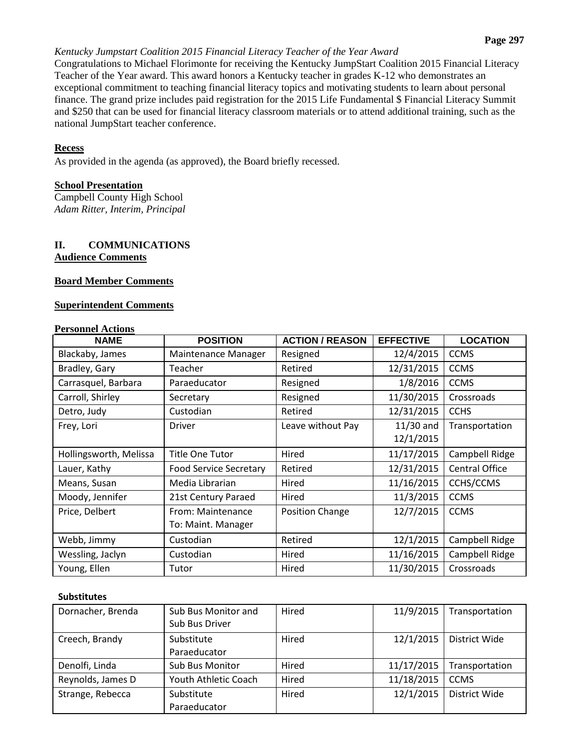# *Kentucky Jumpstart Coalition 2015 Financial Literacy Teacher of the Year Award*

Congratulations to Michael Florimonte for receiving the Kentucky JumpStart Coalition 2015 Financial Literacy Teacher of the Year award. This award honors a Kentucky teacher in grades K-12 who demonstrates an exceptional commitment to teaching financial literacy topics and motivating students to learn about personal finance. The grand prize includes paid registration for the 2015 Life Fundamental \$ Financial Literacy Summit and \$250 that can be used for financial literacy classroom materials or to attend additional training, such as the national JumpStart teacher conference.

# **Recess**

As provided in the agenda (as approved), the Board briefly recessed.

# **School Presentation**

Campbell County High School *Adam Ritter, Interim, Principal*

# **II. COMMUNICATIONS Audience Comments**

# **Board Member Comments**

# **Superintendent Comments**

# **Personnel Actions**

| <b>NAME</b>            | <b>POSITION</b>               | <b>ACTION / REASON</b> | <b>EFFECTIVE</b> | <b>LOCATION</b>       |
|------------------------|-------------------------------|------------------------|------------------|-----------------------|
| Blackaby, James        | Maintenance Manager           | Resigned               | 12/4/2015        | <b>CCMS</b>           |
| Bradley, Gary          | Teacher                       | Retired                | 12/31/2015       | <b>CCMS</b>           |
| Carrasquel, Barbara    | Paraeducator                  | Resigned               | 1/8/2016         | <b>CCMS</b>           |
| Carroll, Shirley       | Secretary                     | Resigned               | 11/30/2015       | Crossroads            |
| Detro, Judy            | Custodian                     | Retired                | 12/31/2015       | <b>CCHS</b>           |
| Frey, Lori             | <b>Driver</b>                 | Leave without Pay      | $11/30$ and      | Transportation        |
|                        |                               |                        | 12/1/2015        |                       |
| Hollingsworth, Melissa | <b>Title One Tutor</b>        | Hired                  | 11/17/2015       | Campbell Ridge        |
| Lauer, Kathy           | <b>Food Service Secretary</b> | Retired                | 12/31/2015       | <b>Central Office</b> |
| Means, Susan           | Media Librarian               | Hired                  | 11/16/2015       | CCHS/CCMS             |
| Moody, Jennifer        | 21st Century Paraed           | Hired                  | 11/3/2015        | <b>CCMS</b>           |
| Price, Delbert         | From: Maintenance             | Position Change        | 12/7/2015        | <b>CCMS</b>           |
|                        | To: Maint. Manager            |                        |                  |                       |
| Webb, Jimmy            | Custodian                     | Retired                | 12/1/2015        | Campbell Ridge        |
| Wessling, Jaclyn       | Custodian                     | Hired                  | 11/16/2015       | Campbell Ridge        |
| Young, Ellen           | Tutor                         | Hired                  | 11/30/2015       | Crossroads            |

#### **Substitutes**

| Dornacher, Brenda | Sub Bus Monitor and<br>Sub Bus Driver | Hired | 11/9/2015  | Transportation       |
|-------------------|---------------------------------------|-------|------------|----------------------|
| Creech, Brandy    | Substitute<br>Paraeducator            | Hired | 12/1/2015  | District Wide        |
| Denolfi, Linda    | <b>Sub Bus Monitor</b>                | Hired | 11/17/2015 | Transportation       |
| Reynolds, James D | Youth Athletic Coach                  | Hired | 11/18/2015 | <b>CCMS</b>          |
| Strange, Rebecca  | Substitute<br>Paraeducator            | Hired | 12/1/2015  | <b>District Wide</b> |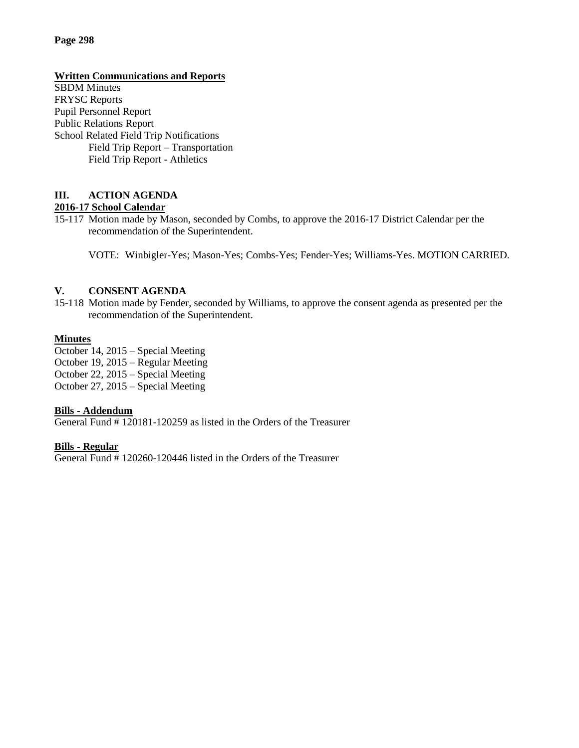# **Page 298**

## **Written Communications and Reports**

SBDM Minutes FRYSC Reports Pupil Personnel Report Public Relations Report School Related Field Trip Notifications Field Trip Report – Transportation Field Trip Report - Athletics

### **III. ACTION AGENDA 2016-17 School Calendar**

15-117 Motion made by Mason, seconded by Combs, to approve the 2016-17 District Calendar per the recommendation of the Superintendent.

VOTE: Winbigler-Yes; Mason-Yes; Combs-Yes; Fender-Yes; Williams-Yes. MOTION CARRIED.

# **V. CONSENT AGENDA**

15-118 Motion made by Fender, seconded by Williams, to approve the consent agenda as presented per the recommendation of the Superintendent.

### **Minutes**

October 14, 2015 – Special Meeting October 19, 2015 – Regular Meeting October 22, 2015 – Special Meeting October 27, 2015 – Special Meeting

#### **Bills - Addendum**

General Fund # 120181-120259 as listed in the Orders of the Treasurer

#### **Bills - Regular**

General Fund # 120260-120446 listed in the Orders of the Treasurer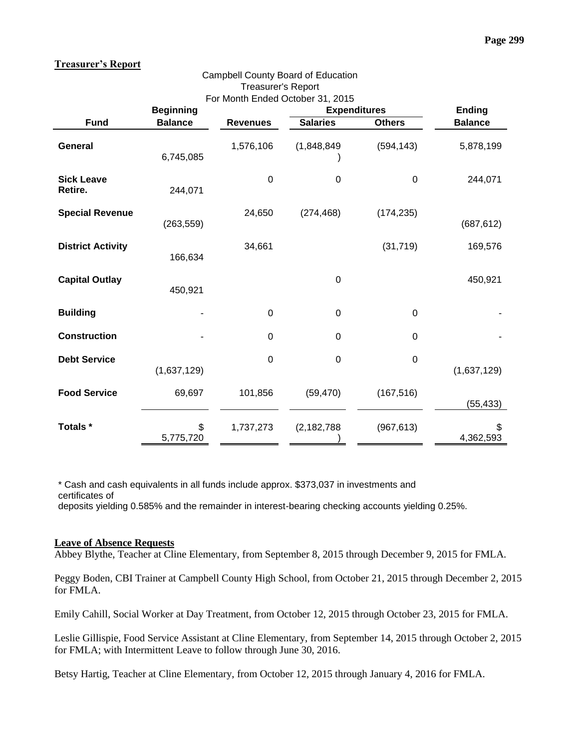### **Treasurer's Report**

| <b>Treasurer's Report</b>    |                  |                 |                                                         |               |                |  |  |
|------------------------------|------------------|-----------------|---------------------------------------------------------|---------------|----------------|--|--|
|                              | <b>Beginning</b> |                 | For Month Ended October 31, 2015<br><b>Expenditures</b> |               | <b>Ending</b>  |  |  |
| <b>Fund</b>                  | <b>Balance</b>   | <b>Revenues</b> | <b>Salaries</b>                                         | <b>Others</b> | <b>Balance</b> |  |  |
| General                      | 6,745,085        | 1,576,106       | (1,848,849)                                             | (594, 143)    | 5,878,199      |  |  |
| <b>Sick Leave</b><br>Retire. | 244,071          | $\mathbf 0$     | 0                                                       | $\mathbf 0$   | 244,071        |  |  |
| <b>Special Revenue</b>       | (263, 559)       | 24,650          | (274, 468)                                              | (174, 235)    | (687, 612)     |  |  |
| <b>District Activity</b>     | 166,634          | 34,661          |                                                         | (31, 719)     | 169,576        |  |  |
| <b>Capital Outlay</b>        | 450,921          |                 | 0                                                       |               | 450,921        |  |  |
| <b>Building</b>              |                  | 0               | $\pmb{0}$                                               | $\mathbf 0$   |                |  |  |
| <b>Construction</b>          |                  | 0               | $\mathbf 0$                                             | 0             |                |  |  |
| <b>Debt Service</b>          | (1,637,129)      | $\mathbf 0$     | $\mathbf 0$                                             | $\mathbf 0$   | (1,637,129)    |  |  |
| <b>Food Service</b>          | 69,697           | 101,856         | (59, 470)                                               | (167, 516)    | (55, 433)      |  |  |
| Totals *                     | \$<br>5,775,720  | 1,737,273       | (2, 182, 788)                                           | (967, 613)    | 4,362,593      |  |  |

Campbell County Board of Education

\* Cash and cash equivalents in all funds include approx. \$373,037 in investments and certificates of deposits yielding 0.585% and the remainder in interest-bearing checking accounts yielding 0.25%.

#### **Leave of Absence Requests**

Abbey Blythe, Teacher at Cline Elementary, from September 8, 2015 through December 9, 2015 for FMLA.

Peggy Boden, CBI Trainer at Campbell County High School, from October 21, 2015 through December 2, 2015 for FMLA.

Emily Cahill, Social Worker at Day Treatment, from October 12, 2015 through October 23, 2015 for FMLA.

Leslie Gillispie, Food Service Assistant at Cline Elementary, from September 14, 2015 through October 2, 2015 for FMLA; with Intermittent Leave to follow through June 30, 2016.

Betsy Hartig, Teacher at Cline Elementary, from October 12, 2015 through January 4, 2016 for FMLA.